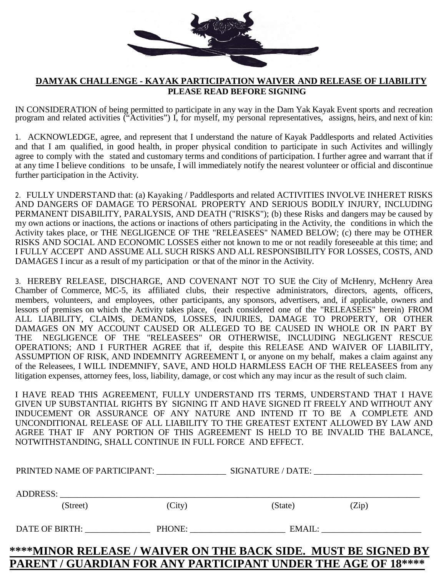

## **DAMYAK CHALLENGE - KAYAK PARTICIPATION WAIVER AND RELEASE OF LIABILITY PLEASE READ BEFORE SIGNING**

IN CONSIDERATION of being permitted to participate in any way in the Dam Yak Kayak Event sports and recreation program and related activities ("Activities") I, for myself, my personal representatives, assigns, heirs, and next of kin:

1. ACKNOWLEDGE, agree, and represent that I understand the nature of Kayak Paddlesports and related Activities and that I am qualified, in good health, in proper physical condition to participate in such Activites and willingly agree to comply with the stated and customary terms and conditions of participation. I further agree and warrant that if at any time I believe conditions to be unsafe, I will immediately notify the nearest volunteer or official and discontinue further participation in the Activity.

2. FULLY UNDERSTAND that: (a) Kayaking / Paddlesports and related ACTIVITIES INVOLVE INHERET RISKS AND DANGERS OF DAMAGE TO PERSONAL PROPERTY AND SERIOUS BODILY INJURY, INCLUDING PERMANENT DISABILITY, PARALYSIS, AND DEATH ("RISKS"); (b) these Risks and dangers may be caused by my own actions or inactions, the actions or inactions of others participating in the Activity, the conditions in which the Activity takes place, or THE NEGLIGENCE OF THE "RELEASEES" NAMED BELOW; (c) there may be OTHER RISKS AND SOCIAL AND ECONOMIC LOSSES either not known to me or not readily foreseeable at this time; and I FULLY ACCEPT AND ASSUME ALL SUCH RISKS AND ALL RESPONSIBILITY FOR LOSSES, COSTS, AND DAMAGES I incur as a result of my participation or that of the minor in the Activity.

3. HEREBY RELEASE, DISCHARGE, AND COVENANT NOT TO SUE the City of McHenry, McHenry Area Chamber of Commerce, MC-5, its affiliated clubs, their respective administrators, directors, agents, officers, members, volunteers, and employees, other participants, any sponsors, advertisers, and, if applicable, owners and lessors of premises on which the Activity takes place, (each considered one of the "RELEASEES" herein) FROM ALL LIABILITY, CLAIMS, DEMANDS, LOSSES, INJURIES, DAMAGE TO PROPERTY, OR OTHER DAMAGES ON MY ACCOUNT CAUSED OR ALLEGED TO BE CAUSED IN WHOLE OR IN PART BY THE NEGLIGENCE OF THE "RELEASEES" OR OTHERWISE, INCLUDING NEGLIGENT RESCUE OPERATIONS; AND I FURTHER AGREE that if, despite this RELEASE AND WAIVER OF LIABILITY, ASSUMPTION OF RISK, AND INDEMNITY AGREEMENT I, or anyone on my behalf, makes a claim against any of the Releasees, I WILL INDEMNIFY, SAVE, AND HOLD HARMLESS EACH OF THE RELEASEES from any litigation expenses, attorney fees, loss, liability, damage, or cost which any may incur as the result of such claim.

I HAVE READ THIS AGREEMENT, FULLY UNDERSTAND ITS TERMS, UNDERSTAND THAT I HAVE GIVEN UP SUBSTANTIAL RIGHTS BY SIGNING IT AND HAVE SIGNED IT FREELY AND WITHOUT ANY INDUCEMENT OR ASSURANCE OF ANY NATURE AND INTEND IT TO BE A COMPLETE AND UNCONDITIONAL RELEASE OF ALL LIABILITY TO THE GREATEST EXTENT ALLOWED BY LAW AND AGREE THAT IF ANY PORTION OF THIS AGREEMENT IS HELD TO BE INVALID THE BALANCE, NOTWITHSTANDING, SHALL CONTINUE IN FULL FORCE AND EFFECT.

|                                                                |        | PRINTED NAME OF PARTICIPANT: SIGNATURE / DATE: |       |  |
|----------------------------------------------------------------|--------|------------------------------------------------|-------|--|
|                                                                |        |                                                |       |  |
| (Street)                                                       | (City) | (State)                                        | (Zip) |  |
|                                                                |        | DATE OF BIRTH: PHONE: EMAIL:                   |       |  |
| ****MINOR RELEASE / WAIVER ON THE BACK SIDE. MUST BE SIGNED BY |        |                                                |       |  |

## **PARENT / GUARDIAN FOR ANY PARTICIPANT UNDER THE AGE OF 18\*\*\*\***